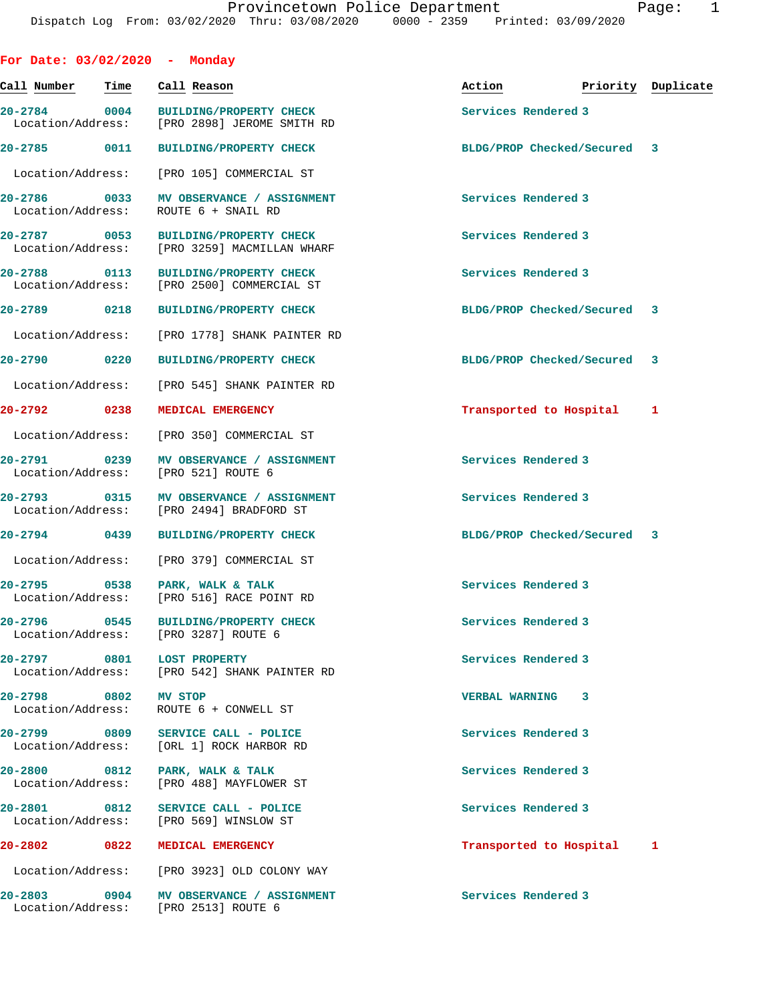| For Date: $03/02/2020$ - Monday                     |      |                                                                                |                             |                    |  |
|-----------------------------------------------------|------|--------------------------------------------------------------------------------|-----------------------------|--------------------|--|
| Call Number                                         | Time | Call Reason                                                                    | Action                      | Priority Duplicate |  |
| $20 - 2784$ 0004<br>Location/Address:               |      | <b>BUILDING/PROPERTY CHECK</b><br>[PRO 2898] JEROME SMITH RD                   | Services Rendered 3         |                    |  |
| 20-2785 0011                                        |      | <b>BUILDING/PROPERTY CHECK</b>                                                 | BLDG/PROP Checked/Secured 3 |                    |  |
| Location/Address:                                   |      | [PRO 105] COMMERCIAL ST                                                        |                             |                    |  |
| 20-2786 0033<br>Location/Address:                   |      | MV OBSERVANCE / ASSIGNMENT<br>ROUTE 6 + SNAIL RD                               | Services Rendered 3         |                    |  |
| 20-2787 0053                                        |      | BUILDING/PROPERTY CHECK<br>Location/Address: [PRO 3259] MACMILLAN WHARF        | Services Rendered 3         |                    |  |
| 20-2788 0113<br>Location/Address:                   |      | <b>BUILDING/PROPERTY CHECK</b><br>[PRO 2500] COMMERCIAL ST                     | Services Rendered 3         |                    |  |
| 20-2789 0218                                        |      | <b>BUILDING/PROPERTY CHECK</b>                                                 | BLDG/PROP Checked/Secured 3 |                    |  |
| Location/Address:                                   |      | [PRO 1778] SHANK PAINTER RD                                                    |                             |                    |  |
| 20-2790 0220                                        |      | <b>BUILDING/PROPERTY CHECK</b>                                                 | BLDG/PROP Checked/Secured 3 |                    |  |
| Location/Address:                                   |      | [PRO 545] SHANK PAINTER RD                                                     |                             |                    |  |
| 20-2792 0238                                        |      | MEDICAL EMERGENCY                                                              | Transported to Hospital 1   |                    |  |
| Location/Address:                                   |      | [PRO 350] COMMERCIAL ST                                                        |                             |                    |  |
| 20-2791 0239<br>Location/Address: [PRO 521] ROUTE 6 |      | MV OBSERVANCE / ASSIGNMENT                                                     | Services Rendered 3         |                    |  |
| 20-2793 0315<br>Location/Address:                   |      | MV OBSERVANCE / ASSIGNMENT<br>[PRO 2494] BRADFORD ST                           | Services Rendered 3         |                    |  |
| 20-2794 0439                                        |      | <b>BUILDING/PROPERTY CHECK</b>                                                 | BLDG/PROP Checked/Secured 3 |                    |  |
| Location/Address:                                   |      | [PRO 379] COMMERCIAL ST                                                        |                             |                    |  |
| 20-2795 0538 PARK, WALK & TALK                      |      | Location/Address: [PRO 516] RACE POINT RD                                      | Services Rendered 3         |                    |  |
| $20 - 2796$                                         |      | 0545 BUILDING/PROPERTY CHECK<br>Location/Address: [PRO 3287] ROUTE 6           | Services Rendered 3         |                    |  |
| 20-2797 0801 LOST PROPERTY                          |      | Location/Address: [PRO 542] SHANK PAINTER RD                                   | Services Rendered 3         |                    |  |
| 20-2798 0802 MV STOP                                |      | Location/Address: ROUTE 6 + CONWELL ST                                         | VERBAL WARNING 3            |                    |  |
|                                                     |      | 20-2799 0809 SERVICE CALL - POLICE<br>Location/Address: [ORL 1] ROCK HARBOR RD | Services Rendered 3         |                    |  |
| 20-2800 0812 PARK, WALK & TALK                      |      | Location/Address: [PRO 488] MAYFLOWER ST                                       | Services Rendered 3         |                    |  |
|                                                     |      | 20-2801 0812 SERVICE CALL - POLICE<br>Location/Address: [PRO 569] WINSLOW ST   | Services Rendered 3         |                    |  |
| 20-2802 0822 MEDICAL EMERGENCY                      |      |                                                                                | Transported to Hospital 1   |                    |  |
|                                                     |      | Location/Address: [PRO 3923] OLD COLONY WAY                                    |                             |                    |  |
| Location/Address: [PRO 2513] ROUTE 6                |      | 20-2803 0904 MV OBSERVANCE / ASSIGNMENT                                        | Services Rendered 3         |                    |  |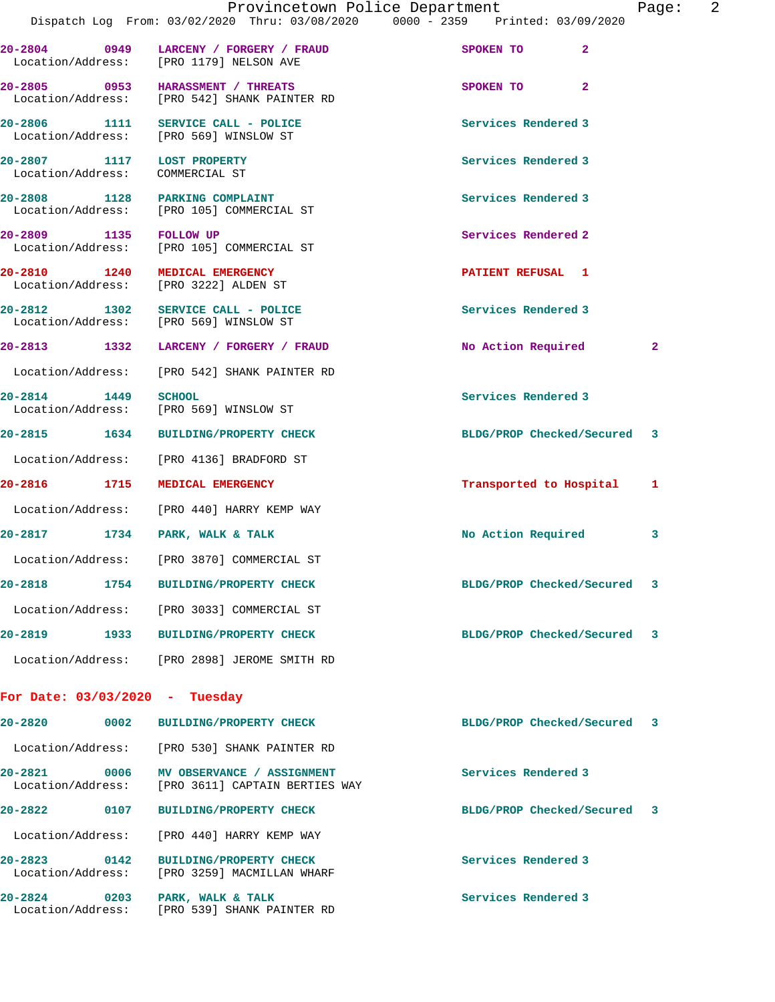|                                                               |      | Provincetown Police Department<br>Dispatch Log From: 03/02/2020 Thru: 03/08/2020 0000 - 2359 Printed: 03/09/2020 |                             | 2<br>Page:   |
|---------------------------------------------------------------|------|------------------------------------------------------------------------------------------------------------------|-----------------------------|--------------|
|                                                               |      | 20-2804 0949 LARCENY / FORGERY / FRAUD<br>Location/Address: [PRO 1179] NELSON AVE                                | $\overline{2}$<br>SPOKEN TO |              |
|                                                               |      | 20-2805 0953 HARASSMENT / THREATS<br>Location/Address: [PRO 542] SHANK PAINTER RD                                | $\overline{2}$<br>SPOKEN TO |              |
|                                                               |      | 20-2806 1111 SERVICE CALL - POLICE<br>Location/Address: [PRO 569] WINSLOW ST                                     | Services Rendered 3         |              |
| 20-2807 1117 LOST PROPERTY<br>Location/Address: COMMERCIAL ST |      |                                                                                                                  | Services Rendered 3         |              |
|                                                               |      | 20-2808 1128 PARKING COMPLAINT<br>Location/Address: [PRO 105] COMMERCIAL ST                                      | Services Rendered 3         |              |
| 20-2809 1135 FOLLOW UP                                        |      | Location/Address: [PRO 105] COMMERCIAL ST                                                                        | Services Rendered 2         |              |
|                                                               |      | 20-2810 1240 MEDICAL EMERGENCY<br>Location/Address: [PRO 3222] ALDEN ST                                          | PATIENT REFUSAL 1           |              |
|                                                               |      | 20-2812 1302 SERVICE CALL - POLICE<br>Location/Address: [PRO 569] WINSLOW ST                                     | Services Rendered 3         |              |
|                                                               |      | 20-2813 1332 LARCENY / FORGERY / FRAUD                                                                           | No Action Required          | $\mathbf{2}$ |
|                                                               |      | Location/Address: [PRO 542] SHANK PAINTER RD                                                                     |                             |              |
| 20-2814 1449 SCHOOL                                           |      | Location/Address: [PRO 569] WINSLOW ST                                                                           | Services Rendered 3         |              |
|                                                               |      | 20-2815 1634 BUILDING/PROPERTY CHECK                                                                             | BLDG/PROP Checked/Secured 3 |              |
|                                                               |      | Location/Address: [PRO 4136] BRADFORD ST                                                                         |                             |              |
|                                                               |      | 20-2816 1715 MEDICAL EMERGENCY                                                                                   | Transported to Hospital     | 1            |
|                                                               |      | Location/Address: [PRO 440] HARRY KEMP WAY                                                                       |                             |              |
|                                                               |      | 20-2817 1734 PARK, WALK & TALK                                                                                   | No Action Required          | 3            |
|                                                               |      | Location/Address: [PRO 3870] COMMERCIAL ST                                                                       |                             |              |
| 20-2818                                                       |      | 1754 BUILDING/PROPERTY CHECK                                                                                     | BLDG/PROP Checked/Secured 3 |              |
|                                                               |      | Location/Address: [PRO 3033] COMMERCIAL ST                                                                       |                             |              |
|                                                               |      | 20-2819 1933 BUILDING/PROPERTY CHECK                                                                             | BLDG/PROP Checked/Secured   | 3            |
|                                                               |      | Location/Address: [PRO 2898] JEROME SMITH RD                                                                     |                             |              |
| For Date: $03/03/2020$ - Tuesday                              |      |                                                                                                                  |                             |              |
| 20-2820                                                       | 0002 | <b>BUILDING/PROPERTY CHECK</b>                                                                                   | BLDG/PROP Checked/Secured   | -3           |
|                                                               |      | Location/Address: [PRO 530] SHANK PAINTER RD                                                                     |                             |              |
| 20-2821 0006                                                  |      | MV OBSERVANCE / ASSIGNMENT<br>Location/Address: [PRO 3611] CAPTAIN BERTIES WAY                                   | Services Rendered 3         |              |
|                                                               |      |                                                                                                                  |                             |              |

 Location/Address: [PRO 440] HARRY KEMP WAY **20-2823 0142 BUILDING/PROPERTY CHECK Services Rendered 3**  Location/Address: [PRO 3259] MACMILLAN WHARF

20-2824 0203 PARK, WALK & TALK **Services Rendered 3** Location/Address: [PRO 539] SHANK PAINTER RD

**20-2822 0107 BUILDING/PROPERTY CHECK BLDG/PROP Checked/Secured 3**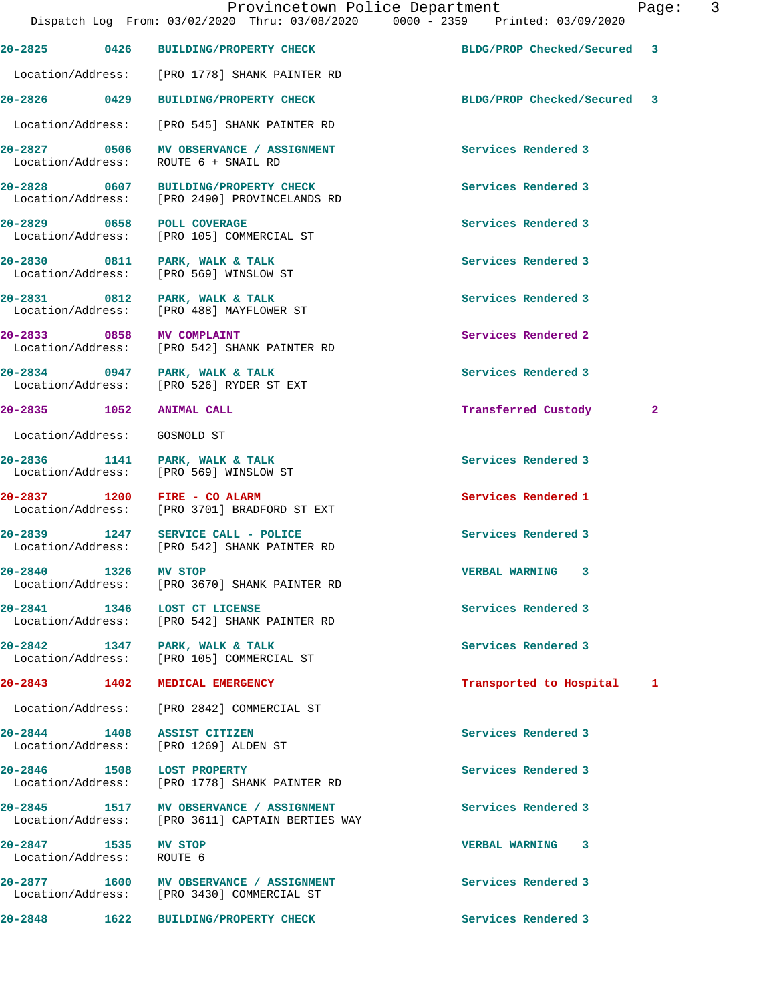Provincetown Police Department Fage: 3 Dispatch Log From: 03/02/2020 Thru: 03/08/2020 0000 - 2359 Printed: 03/09/2020 **20-2825 0426 BUILDING/PROPERTY CHECK BLDG/PROP Checked/Secured 3** Location/Address: [PRO 1778] SHANK PAINTER RD **20-2826 0429 BUILDING/PROPERTY CHECK BLDG/PROP Checked/Secured 3** Location/Address: [PRO 545] SHANK PAINTER RD **20-2827 0506 MV OBSERVANCE / ASSIGNMENT Services Rendered 3**  Location/Address: ROUTE 6 + SNAIL RD 20-2828 0607 BUILDING/PROPERTY CHECK Services Rendered 3<br>
Location/Address: [PRO 2490] PROVINCELANDS RD [PRO 2490] PROVINCELANDS RD **20-2829 0658 POLL COVERAGE Services Rendered 3**  Location/Address: [PRO 105] COMMERCIAL ST 20-2830 0811 PARK, WALK & TALK **Services Rendered 3**  Location/Address: [PRO 569] WINSLOW ST **20-2831 0812 PARK, WALK & TALK Services Rendered 3**  Location/Address: [PRO 488] MAYFLOWER ST **20-2833 0858 MV COMPLAINT Services Rendered 2**  Location/Address: [PRO 542] SHANK PAINTER RD **20-2834 0947 PARK, WALK & TALK Services Rendered 3**  Location/Address: [PRO 526] RYDER ST EXT **20-2835 1052 ANIMAL CALL Transferred Custody 2** Location/Address: GOSNOLD ST 20-2836 1141 PARK, WALK & TALK **Services Rendered 3**  Location/Address: [PRO 569] WINSLOW ST **20-2837 1200 FIRE - CO ALARM Services Rendered 1**  Location/Address: [PRO 3701] BRADFORD ST EXT 20-2839 1247 SERVICE CALL - POLICE **Services Rendered 3**<br>
Location/Address: [PRO 542] SHANK PAINTER RD [PRO 542] SHANK PAINTER RD **20-2840 1326 MV STOP VERBAL WARNING 3**  Location/Address: [PRO 3670] SHANK PAINTER RD **20-2841 1346 LOST CT LICENSE Services Rendered 3**  Location/Address: [PRO 542] SHANK PAINTER RD 20-2842 1347 PARK, WALK & TALK **Services Rendered 3**  Location/Address: [PRO 105] COMMERCIAL ST **20-2843 1402 MEDICAL EMERGENCY Transported to Hospital 1** Location/Address: [PRO 2842] COMMERCIAL ST

Location/Address: [PRO 1269] ALDEN ST

**20-2846 1508 LOST PROPERTY Services Rendered 3**  Location/Address: [PRO 1778] SHANK PAINTER RD

**20-2845 1517 MV OBSERVANCE / ASSIGNMENT Services Rendered 3** 

Location/Address: ROUTE 6

20-2877 1600 MV OBSERVANCE / ASSIGNMENT **Services Rendered 3** Location/Address: [PRO 3430] COMMERCIAL ST

[PRO 3611] CAPTAIN BERTIES WAY

**20-2848 1622 BUILDING/PROPERTY CHECK Services Rendered 3** 

**20-2844 1408 ASSIST CITIZEN Services Rendered 3** 

**20-2847 1535 MV STOP VERBAL WARNING 3**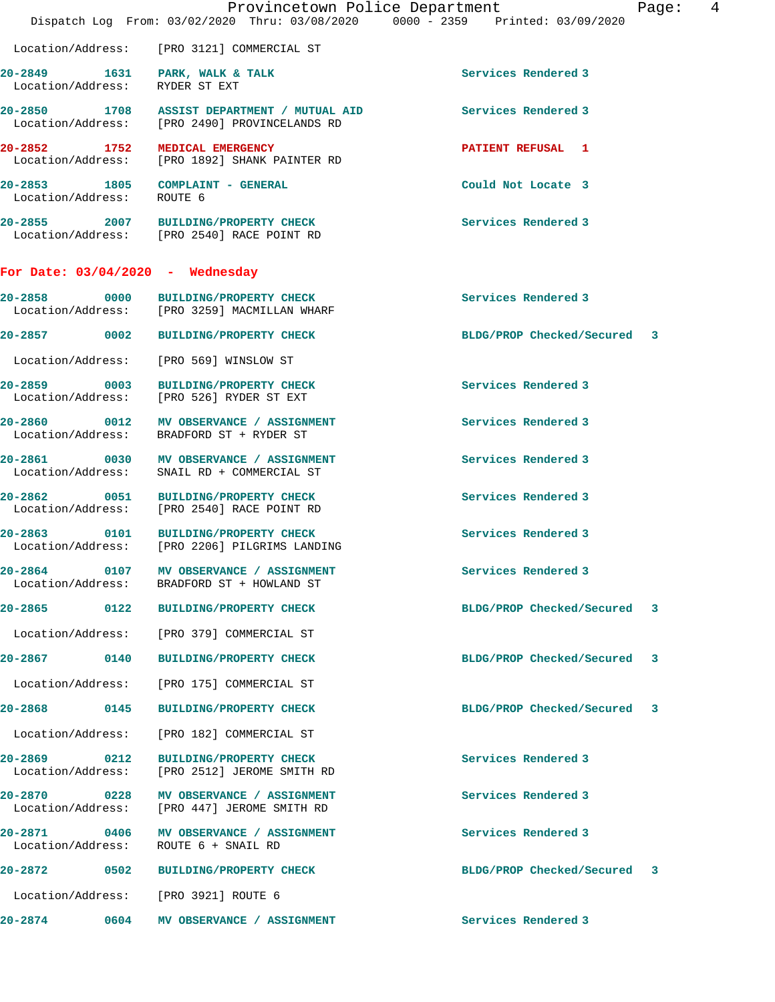|                                    | Provincetown Police Department<br>Dispatch Log From: 03/02/2020 Thru: 03/08/2020 0000 - 2359 Printed: 03/09/2020 | Page: $4$                   |  |
|------------------------------------|------------------------------------------------------------------------------------------------------------------|-----------------------------|--|
|                                    | Location/Address: [PRO 3121] COMMERCIAL ST                                                                       |                             |  |
| Location/Address: RYDER ST EXT     | 20-2849 1631 PARK, WALK & TALK                                                                                   | Services Rendered 3         |  |
|                                    | 20-2850 1708 ASSIST DEPARTMENT / MUTUAL AID<br>Location/Address: [PRO 2490] PROVINCELANDS RD                     | Services Rendered 3         |  |
| 20-2852 1752 MEDICAL EMERGENCY     | Location/Address: [PRO 1892] SHANK PAINTER RD                                                                    | <b>PATIENT REFUSAL 1</b>    |  |
| Location/Address: ROUTE 6          | 20-2853 1805 COMPLAINT - GENERAL                                                                                 | Could Not Locate 3          |  |
|                                    | 20-2855 2007 BUILDING/PROPERTY CHECK<br>Location/Address: [PRO 2540] RACE POINT RD                               | Services Rendered 3         |  |
| For Date: $03/04/2020$ - Wednesday |                                                                                                                  |                             |  |
|                                    | 20-2858 0000 BUILDING/PROPERTY CHECK<br>Location/Address: [PRO 3259] MACMILLAN WHARF                             | Services Rendered 3         |  |
|                                    | 20-2857 0002 BUILDING/PROPERTY CHECK                                                                             | BLDG/PROP Checked/Secured 3 |  |
|                                    | Location/Address: [PRO 569] WINSLOW ST                                                                           |                             |  |
|                                    | 20-2859 0003 BUILDING/PROPERTY CHECK<br>Location/Address: [PRO 526] RYDER ST EXT                                 | Services Rendered 3         |  |
|                                    | 20-2860 0012 MV OBSERVANCE / ASSIGNMENT<br>Location/Address: BRADFORD ST + RYDER ST                              | Services Rendered 3         |  |
|                                    | 20-2861 0030 MV OBSERVANCE / ASSIGNMENT<br>Location/Address: SNAIL RD + COMMERCIAL ST                            | Services Rendered 3         |  |
|                                    | 20-2862 0051 BUILDING/PROPERTY CHECK<br>Location/Address: [PRO 2540] RACE POINT RD                               | Services Rendered 3         |  |
|                                    | 20-2863 0101 BUILDING/PROPERTY CHECK<br>Location/Address: [PRO 2206] PILGRIMS LANDING                            | Services Rendered 3         |  |
| 20-2864                            | 0107 MV OBSERVANCE / ASSIGNMENT<br>Location/Address: BRADFORD ST + HOWLAND ST                                    | Services Rendered 3         |  |
|                                    | 20-2865 0122 BUILDING/PROPERTY CHECK                                                                             | BLDG/PROP Checked/Secured 3 |  |
| Location/Address:                  | [PRO 379] COMMERCIAL ST                                                                                          |                             |  |
| 20-2867 0140                       | <b>BUILDING/PROPERTY CHECK</b>                                                                                   | BLDG/PROP Checked/Secured 3 |  |
| Location/Address:                  | [PRO 175] COMMERCIAL ST                                                                                          |                             |  |
| 20-2868<br>0145                    | <b>BUILDING/PROPERTY CHECK</b>                                                                                   | BLDG/PROP Checked/Secured 3 |  |
| Location/Address:                  | [PRO 182] COMMERCIAL ST                                                                                          |                             |  |
| 20-2869 0212<br>Location/Address:  | <b>BUILDING/PROPERTY CHECK</b><br>[PRO 2512] JEROME SMITH RD                                                     | Services Rendered 3         |  |
| 20-2870 0228<br>Location/Address:  | MV OBSERVANCE / ASSIGNMENT<br>[PRO 447] JEROME SMITH RD                                                          | Services Rendered 3         |  |
| 20-2871 0406<br>Location/Address:  | MV OBSERVANCE / ASSIGNMENT<br>ROUTE 6 + SNAIL RD                                                                 | Services Rendered 3         |  |
| 20-2872                            | 0502 BUILDING/PROPERTY CHECK                                                                                     | BLDG/PROP Checked/Secured 3 |  |
|                                    | Location/Address: [PRO 3921] ROUTE 6                                                                             |                             |  |
| 20-2874<br>0604                    | MV OBSERVANCE / ASSIGNMENT                                                                                       | Services Rendered 3         |  |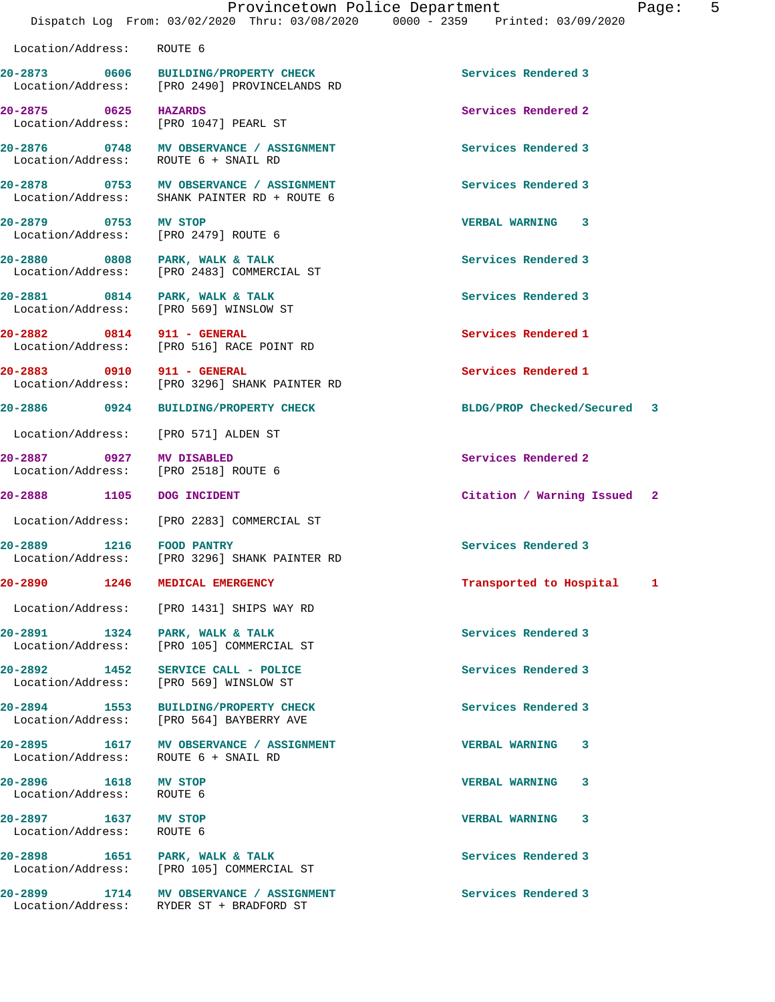| Location/Address: ROUTE 6                                        |                                                                                         |                             |
|------------------------------------------------------------------|-----------------------------------------------------------------------------------------|-----------------------------|
|                                                                  | 20-2873 0606 BUILDING/PROPERTY CHECK<br>Location/Address: [PRO 2490] PROVINCELANDS RD   | Services Rendered 3         |
| 20-2875 0625 HAZARDS<br>Location/Address: [PRO 1047] PEARL ST    |                                                                                         | Services Rendered 2         |
| Location/Address: ROUTE 6 + SNAIL RD                             | 20-2876 0748 MV OBSERVANCE / ASSIGNMENT                                                 | Services Rendered 3         |
|                                                                  | 20-2878 0753 MV OBSERVANCE / ASSIGNMENT<br>Location/Address: SHANK PAINTER RD + ROUTE 6 | Services Rendered 3         |
| 20-2879 0753 MV STOP<br>Location/Address: [PRO 2479] ROUTE 6     |                                                                                         | <b>VERBAL WARNING 3</b>     |
|                                                                  | 20-2880 0808 PARK, WALK & TALK<br>Location/Address: [PRO 2483] COMMERCIAL ST            | Services Rendered 3         |
| 20-2881 0814 PARK, WALK & TALK                                   | Location/Address: [PRO 569] WINSLOW ST                                                  | Services Rendered 3         |
| 20-2882 0814 911 - GENERAL                                       | Location/Address: [PRO 516] RACE POINT RD                                               | Services Rendered 1         |
| 20-2883 0910 911 - GENERAL                                       | Location/Address: [PRO 3296] SHANK PAINTER RD                                           | Services Rendered 1         |
| 20-2886 0924                                                     | <b>BUILDING/PROPERTY CHECK</b>                                                          | BLDG/PROP Checked/Secured 3 |
| Location/Address: [PRO 571] ALDEN ST                             |                                                                                         |                             |
| 20-2887 0927 MV DISABLED<br>Location/Address: [PRO 2518] ROUTE 6 |                                                                                         | Services Rendered 2         |
| 20-2888 1105 DOG INCIDENT                                        |                                                                                         | Citation / Warning Issued 2 |
|                                                                  | Location/Address: [PRO 2283] COMMERCIAL ST                                              |                             |
| 20-2889 1216 FOOD PANTRY                                         | Location/Address: [PRO 3296] SHANK PAINTER RD                                           | Services Rendered 3         |
| 20-2890 1246 MEDICAL EMERGENCY                                   |                                                                                         | Transported to Hospital 1   |
|                                                                  | Location/Address: [PRO 1431] SHIPS WAY RD                                               |                             |
| 20-2891 1324 PARK, WALK & TALK                                   | Location/Address: [PRO 105] COMMERCIAL ST                                               | Services Rendered 3         |
| Location/Address: [PRO 569] WINSLOW ST                           | 20-2892 1452 SERVICE CALL - POLICE                                                      | Services Rendered 3         |
|                                                                  | 20-2894 1553 BUILDING/PROPERTY CHECK<br>Location/Address: [PRO 564] BAYBERRY AVE        | Services Rendered 3         |
| Location/Address: ROUTE 6 + SNAIL RD                             | 20-2895 1617 MV OBSERVANCE / ASSIGNMENT                                                 | <b>VERBAL WARNING 3</b>     |
| 20-2896 1618 MV STOP<br>Location/Address: ROUTE 6                |                                                                                         | <b>VERBAL WARNING</b><br>3  |
| 20-2897 1637 MV STOP<br>Location/Address: ROUTE 6                |                                                                                         | <b>VERBAL WARNING 3</b>     |
| 20-2898 1651 PARK, WALK & TALK                                   | Location/Address: [PRO 105] COMMERCIAL ST                                               | Services Rendered 3         |
|                                                                  | 20-2899 1714 MV OBSERVANCE / ASSIGNMENT<br>Location/Address: RYDER ST + BRADFORD ST     | Services Rendered 3         |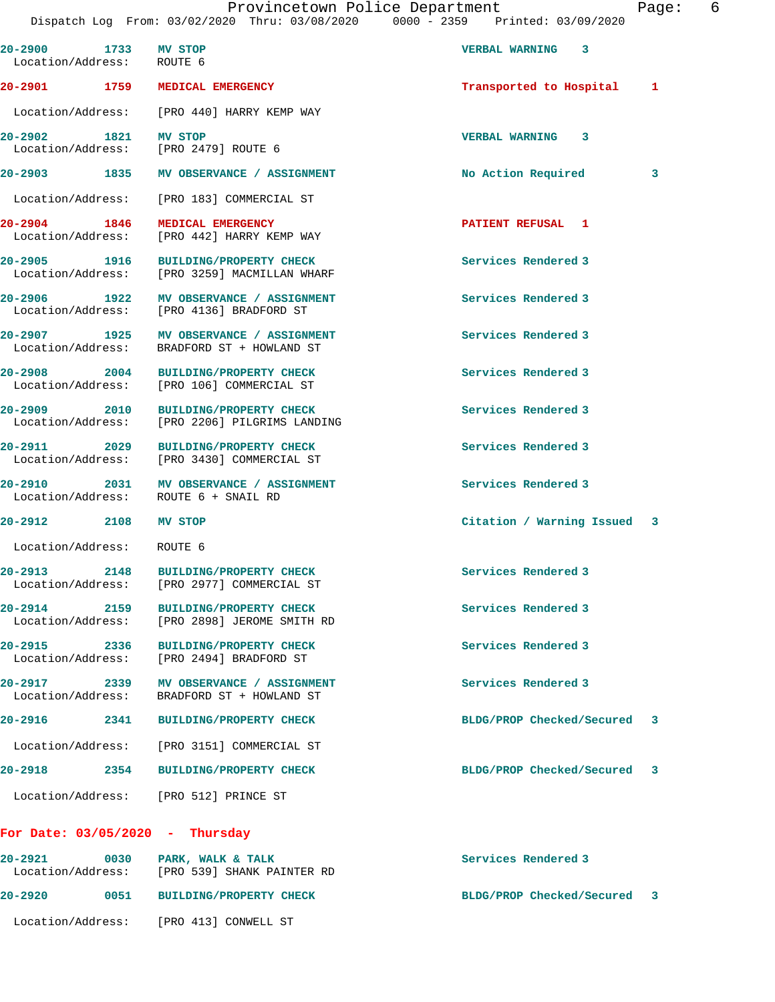Provincetown Police Department Fage: 6 Dispatch Log From: 03/02/2020 Thru: 03/08/2020 0000 - 2359 Printed: 03/09/2020 **20-2900 1733 MV STOP VERBAL WARNING 3**  Location/Address: ROUTE 6 **20-2901 1759 MEDICAL EMERGENCY Transported to Hospital 1** Location/Address: [PRO 440] HARRY KEMP WAY **20-2902 1821 MV STOP VERBAL WARNING 3**  Location/Address: [PRO 2479] ROUTE 6 **20-2903 1835 MV OBSERVANCE / ASSIGNMENT No Action Required 3** Location/Address: [PRO 183] COMMERCIAL ST **20-2904 1846 MEDICAL EMERGENCY PATIENT REFUSAL 1**  Location/Address: [PRO 442] HARRY KEMP WAY **20-2905 1916 BUILDING/PROPERTY CHECK Services Rendered 3**  Location/Address: [PRO 3259] MACMILLAN WHARF **20-2906 1922 MV OBSERVANCE / ASSIGNMENT Services Rendered 3**  Location/Address: [PRO 4136] BRADFORD ST **20-2907 1925 MV OBSERVANCE / ASSIGNMENT Services Rendered 3**  Location/Address: BRADFORD ST + HOWLAND ST **20-2908 2004 BUILDING/PROPERTY CHECK Services Rendered 3**  Location/Address: [PRO 106] COMMERCIAL ST **20-2909 2010 BUILDING/PROPERTY CHECK Services Rendered 3**  Location/Address: [PRO 2206] PILGRIMS LANDING 20-2911 2029 BUILDING/PROPERTY CHECK Services Rendered 3<br>
Location/Address: [PRO 3430] COMMERCIAL ST [PRO 3430] COMMERCIAL ST **20-2910 2031 MV OBSERVANCE / ASSIGNMENT Services Rendered 3**  Location/Address: ROUTE 6 + SNAIL RD **20-2912 2108 MV STOP Citation / Warning Issued 3** Location/Address: ROUTE 6 **20-2913 2148 BUILDING/PROPERTY CHECK Services Rendered 3**  Location/Address: [PRO 2977] COMMERCIAL ST **20-2914 2159 BUILDING/PROPERTY CHECK Services Rendered 3**  Location/Address: [PRO 2898] JEROME SMITH RD **20-2915 2336 BUILDING/PROPERTY CHECK Services Rendered 3**  Location/Address: [PRO 2494] BRADFORD ST **20-2917 2339 MV OBSERVANCE / ASSIGNMENT Services Rendered 3**  BRADFORD ST + HOWLAND ST **20-2916 2341 BUILDING/PROPERTY CHECK BLDG/PROP Checked/Secured 3** Location/Address: [PRO 3151] COMMERCIAL ST **20-2918 2354 BUILDING/PROPERTY CHECK BLDG/PROP Checked/Secured 3** Location/Address: [PRO 512] PRINCE ST **For Date: 03/05/2020 - Thursday**

**20-2921 0030 PARK, WALK & TALK Services Rendered 3**  Location/Address: [PRO 539] SHANK PAINTER RD **20-2920 0051 BUILDING/PROPERTY CHECK BLDG/PROP Checked/Secured 3** Location/Address: [PRO 413] CONWELL ST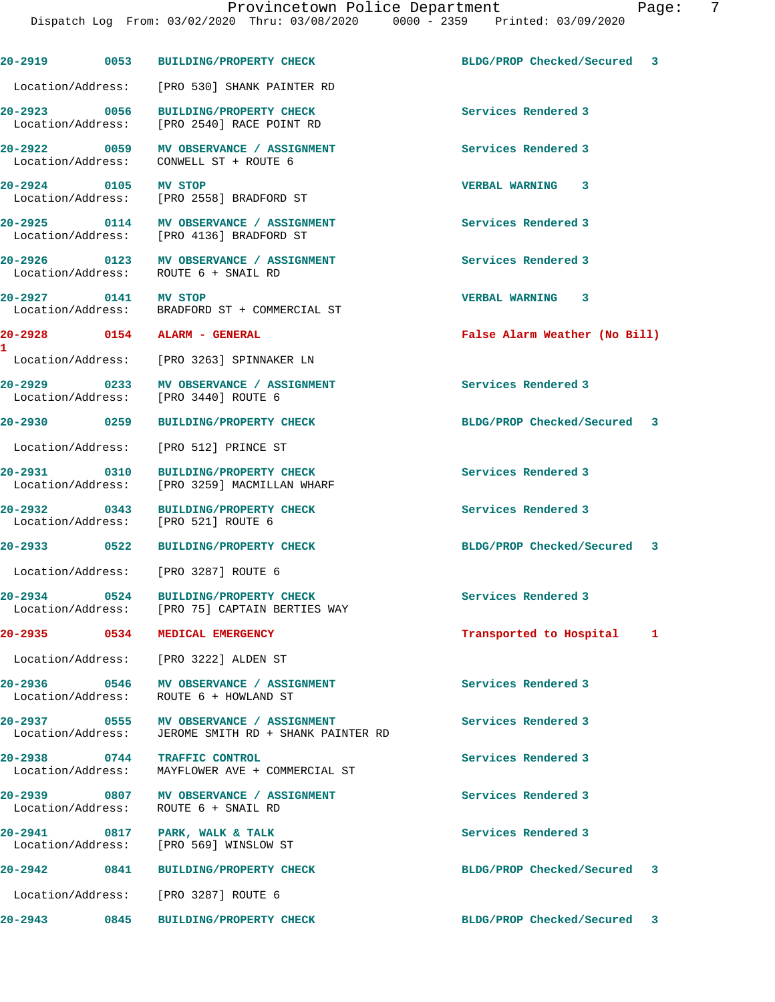Dispatch Log From: 03/02/2020 Thru: 03/08/2020 0000 - 2359 Printed: 03/09/2020 **20-2919 0053 BUILDING/PROPERTY CHECK BLDG/PROP Checked/Secured 3** Location/Address: [PRO 530] SHANK PAINTER RD **20-2923 0056 BUILDING/PROPERTY CHECK Services Rendered 3**  Location/Address: [PRO 2540] RACE POINT RD **20-2922 0059 MV OBSERVANCE / ASSIGNMENT Services Rendered 3**  Location/Address: CONWELL ST + ROUTE 6 **20-2924 0105 MV STOP VERBAL WARNING 3**  [PRO 2558] BRADFORD ST **20-2925 0114 MV OBSERVANCE / ASSIGNMENT Services Rendered 3**  Location/Address: [PRO 4136] BRADFORD ST **20-2926 0123 MV OBSERVANCE / ASSIGNMENT Services Rendered 3**  Location/Address: ROUTE 6 + SNAIL RD **20-2927 0141 MV STOP VERBAL WARNING 3**  Location/Address: BRADFORD ST + COMMERCIAL ST **20-2928 0154 ALARM - GENERAL False Alarm Weather (No Bill)** Location/Address: [PRO 3263] SPINNAKER LN **20-2929 0233 MV OBSERVANCE / ASSIGNMENT Services Rendered 3**  Location/Address: [PRO 3440] ROUTE 6 **20-2930 0259 BUILDING/PROPERTY CHECK BLDG/PROP Checked/Secured 3** Location/Address: [PRO 512] PRINCE ST **20-2931 0310 BUILDING/PROPERTY CHECK Services Rendered 3**  Location/Address: [PRO 3259] MACMILLAN WHARF **20-2932 0343 BUILDING/PROPERTY CHECK Services Rendered 3**  Location/Address: [PRO 521] ROUTE 6 **20-2933 0522 BUILDING/PROPERTY CHECK BLDG/PROP Checked/Secured 3** Location/Address: [PRO 3287] ROUTE 6 **20-2934 0524 BUILDING/PROPERTY CHECK Services Rendered 3**  Location/Address: [PRO 75] CAPTAIN BERTIES WAY **20-2935 0534 MEDICAL EMERGENCY Transported to Hospital 1** Location/Address: [PRO 3222] ALDEN ST **20-2936 0546 MV OBSERVANCE / ASSIGNMENT Services Rendered 3**  Location/Address: ROUTE 6 + HOWLAND ST 20-2937 **0555 MV OBSERVANCE / ASSIGNMENT** Services Rendered 3 Location/Address: JEROME SMITH RD + SHANK PAINTER RD **20-2938 0744 TRAFFIC CONTROL Services Rendered 3**  Location/Address: MAYFLOWER AVE + COMMERCIAL ST **20-2939 0807 MV OBSERVANCE / ASSIGNMENT Services Rendered 3**  Location/Address: ROUTE 6 + SNAIL RD 20-2941 0817 PARK, WALK & TALK **Services Rendered 3**  Location/Address: [PRO 569] WINSLOW ST **20-2942 0841 BUILDING/PROPERTY CHECK BLDG/PROP Checked/Secured 3** Location/Address: [PRO 3287] ROUTE 6

**20-2943 0845 BUILDING/PROPERTY CHECK BLDG/PROP Checked/Secured 3**

**1**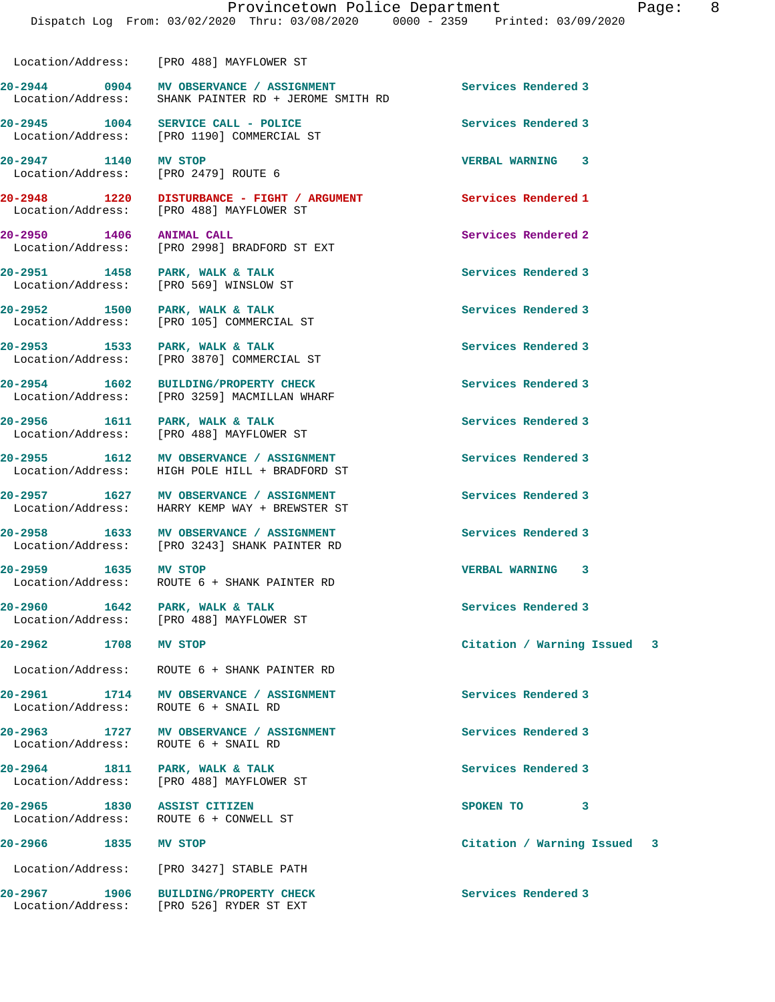20-2944 **0904 MV OBSERVANCE / ASSIGNMENT** Services Rendered 3

**20-2947 1140 MV STOP VERBAL WARNING 3**  Location/Address: [PRO 2479] ROUTE 6 **20-2948 1220 DISTURBANCE - FIGHT / ARGUMENT Services Rendered 1**  Location/Address: [PRO 488] MAYFLOWER ST **20-2950 1406 ANIMAL CALL Services Rendered 2**  Location/Address: [PRO 2998] BRADFORD ST EXT **20-2951** 1458 PARK, WALK & TALK **Services Rendered 3**<br>
Location/Address: [PRO 569] WINSLOW ST [PRO 569] WINSLOW ST **20-2952 1500 PARK, WALK & TALK Services Rendered 3**  Location/Address: [PRO 105] COMMERCIAL ST 20-2953 1533 PARK, WALK & TALK **Services Rendered 3** Location/Address: [PRO 3870] COMMERCIAL ST

Location/Address: [PRO 488] MAYFLOWER ST

Location/Address: [PRO 1190] COMMERCIAL ST

Location/Address: SHANK PAINTER RD + JEROME SMITH RD

Location/Address: [PRO 3259] MACMILLAN WHARF

Location/Address: [PRO 488] MAYFLOWER ST

**20-2955 1612 MV OBSERVANCE / ASSIGNMENT Services Rendered 3**  Location/Address: HIGH POLE HILL + BRADFORD ST

**20-2957 1627 MV OBSERVANCE / ASSIGNMENT Services Rendered 3** 

Location/Address: [PRO 3243] SHANK PAINTER RD

**20-2959 1635 MV STOP VERBAL WARNING 3**  Location/Address: ROUTE 6 + SHANK PAINTER RD

[PRO 488] MAYFLOWER ST

Location/Address:

Location/Address: ROUTE 6 + SHANK PAINTER RD

**20-2961 1714 MV OBSERVANCE / ASSIGNMENT Services Rendered 3** 

Location/Address: ROUTE 6 + SNAIL RD

Location/Address: [PRO 488] MAYFLOWER ST

Location/Address: ROUTE 6 + CONWELL ST

Location/Address: [PRO 3427] STABLE PATH

**20-2967 1906 BUILDING/PROPERTY CHECK Services Rendered 3**  Location/Address: [PRO 526] RYDER ST EXT

**20-2954 1602 BUILDING/PROPERTY CHECK Services Rendered 3** 

**20-2956 1611 PARK, WALK & TALK Services Rendered 3** 

Location/Address: HARRY KEMP WAY + BREWSTER ST

**20-2958 1633 MV OBSERVANCE / ASSIGNMENT Services Rendered 3** 

20-2960 1642 PARK, WALK & TALK **Services Rendered 3** 1642 PARK, WALK & TALK Services Rendered 3

**20-2963 1727 MV OBSERVANCE / ASSIGNMENT Services Rendered 3** 

**20-2964 1811 PARK, WALK & TALK Services Rendered 3** 

**20-2965 1830 ASSIST CITIZEN SPOKEN TO 3** 

**20-2945 1004 SERVICE CALL - POLICE Services Rendered 3** 

**20-2962 1708 MV STOP Citation / Warning Issued 3**

**20-2966 1835 MV STOP Citation / Warning Issued 3**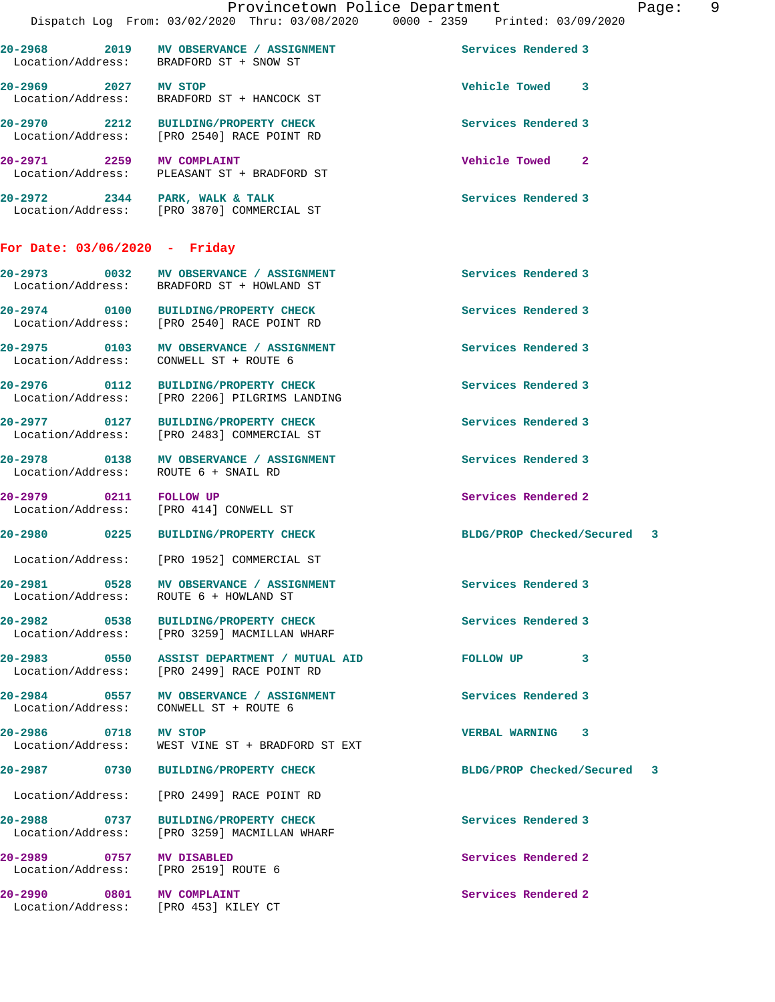| 20-2968<br>2019<br>Location/Address: | MV OBSERVANCE / ASSIGNMENT<br>BRADFORD ST + SNOW ST       | Services Rendered 3 |
|--------------------------------------|-----------------------------------------------------------|---------------------|
| 20-2969<br>2027<br>Location/Address: | MV STOP<br>BRADFORD ST + HANCOCK ST                       | Vehicle Towed<br>3  |
| 20-2970<br>2212<br>Location/Address: | <b>BUILDING/PROPERTY CHECK</b><br>FRO 25401 RACE POINT RD | Services Rendered 3 |

**20-2971 2259 MV COMPLAINT Vehicle Towed 2**  PLEASANT ST + BRADFORD ST **20-2972 2344 PARK, WALK & TALK Services Rendered 3**  Location/Address: [PRO 3870] COMMERCIAL ST

**For Date: 03/06/2020 - Friday**

**20-2973 0032 MV OBSERVANCE / ASSIGNMENT Services Rendered 3**  Location/Address: BRADFORD ST + HOWLAND ST **20-2974 0100 BUILDING/PROPERTY CHECK Services Rendered 3**  Location/Address: [PRO 2540] RACE POINT RD **20-2975 0103 MV OBSERVANCE / ASSIGNMENT Services Rendered 3**  CONWELL ST + ROUTE 6

**20-2976 0112 BUILDING/PROPERTY CHECK Services Rendered 3**  Location/Address: [PRO 2206] PILGRIMS LANDING

**20-2977 0127 BUILDING/PROPERTY CHECK Services Rendered 3**  Location/Address: [PRO 2483] COMMERCIAL ST

**20-2978 0138 MV OBSERVANCE / ASSIGNMENT Services Rendered 3**  Location/Address: ROUTE 6 + SNAIL RD

**20-2979 0211 FOLLOW UP Services Rendered 2**  Location/Address: [PRO 414] CONWELL ST

Location/Address: [PRO 1952] COMMERCIAL ST

**20-2981 0528 MV OBSERVANCE / ASSIGNMENT Services Rendered 3**  Location/Address: ROUTE 6 + HOWLAND ST

**20-2982 0538 BUILDING/PROPERTY CHECK Services Rendered 3**  Location/Address: [PRO 3259] MACMILLAN WHARF

**20-2983 0550 ASSIST DEPARTMENT / MUTUAL AID FOLLOW UP 3**  Location/Address: [PRO 2499] RACE POINT RD

**20-2984 0557 MV OBSERVANCE / ASSIGNMENT Services Rendered 3**  CONWELL ST + ROUTE 6

**20-2986 0718 MV STOP VERBAL WARNING 3**  Location/Address: WEST VINE ST + BRADFORD ST EXT

Location/Address: [PRO 2499] RACE POINT RD

**20-2988 0737 BUILDING/PROPERTY CHECK Services Rendered 3**  Location/Address: [PRO 3259] MACMILLAN WHARF

**20-2989 0757 MV DISABLED Services Rendered 2**  Location/Address: [PRO 2519] ROUTE 6

Location/Address: [PRO 453] KILEY CT

**20-2980 0225 BUILDING/PROPERTY CHECK BLDG/PROP Checked/Secured 3**

**20-2987 0730 BUILDING/PROPERTY CHECK BLDG/PROP Checked/Secured 3**

**20-2990 0801 MV COMPLAINT Services Rendered 2**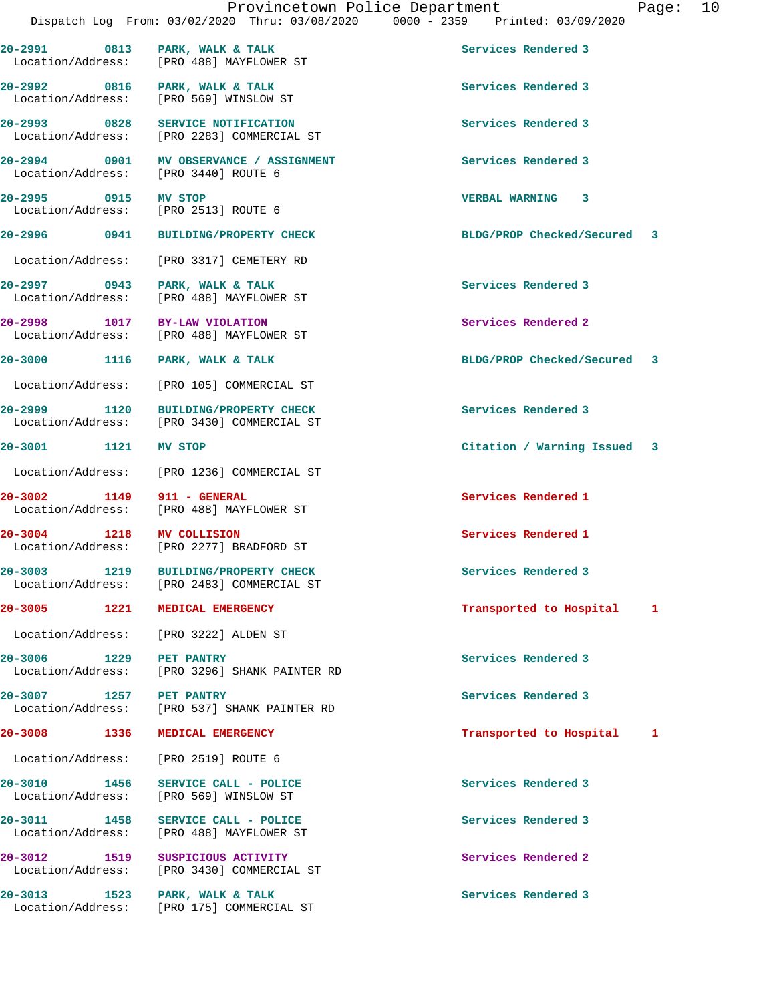20-2991 0813 PARK, WALK & TALK **Services Rendered 3** 

 Location/Address: [PRO 488] MAYFLOWER ST 20-2992 0816 PARK, WALK & TALK **Services Rendered** 3 Location/Address: [PRO 569] WINSLOW ST **20-2993 0828 SERVICE NOTIFICATION Services Rendered 3**  Location/Address: [PRO 2283] COMMERCIAL ST **20-2994 0901 MV OBSERVANCE / ASSIGNMENT Services Rendered 3**  Location/Address: [PRO 3440] ROUTE 6 **20-2995 0915 MV STOP VERBAL WARNING 3**  Location/Address: [PRO 2513] ROUTE 6 **20-2996 0941 BUILDING/PROPERTY CHECK BLDG/PROP Checked/Secured 3** Location/Address: [PRO 3317] CEMETERY RD 20-2997 **0943** PARK, WALK & TALK **Services Rendered 3**  Location/Address: [PRO 488] MAYFLOWER ST **20-2998 1017 BY-LAW VIOLATION Services Rendered 2**  [PRO 488] MAYFLOWER ST **20-3000 1116 PARK, WALK & TALK BLDG/PROP Checked/Secured 3** Location/Address: [PRO 105] COMMERCIAL ST **20-2999 1120 BUILDING/PROPERTY CHECK Services Rendered 3**  Location/Address: [PRO 3430] COMMERCIAL ST **20-3001 1121 MV STOP Citation / Warning Issued 3** Location/Address: [PRO 1236] COMMERCIAL ST **20-3002 1149 911 - GENERAL Services Rendered 1**  Location/Address: [PRO 488] MAYFLOWER ST **20-3004 1218 MV COLLISION Services Rendered 1 1218 MV COLLISION** ST [PRO 2277] BRADFORD ST **20-3003 1219 BUILDING/PROPERTY CHECK Services Rendered 3**  Location/Address: [PRO 2483] COMMERCIAL ST **20-3005 1221 MEDICAL EMERGENCY Transported to Hospital 1** Location/Address: [PRO 3222] ALDEN ST **20-3006 1229 PET PANTRY Services Rendered 3**  Location/Address: [PRO 3296] SHANK PAINTER RD **20-3007 1257 PET PANTRY Services Rendered 3**  [PRO 537] SHANK PAINTER RD **20-3008 1336 MEDICAL EMERGENCY Transported to Hospital 1** Location/Address: [PRO 2519] ROUTE 6 **20-3010 1456 SERVICE CALL - POLICE Services Rendered 3**  Location/Address: [PRO 569] WINSLOW ST 20-3011 1458 SERVICE CALL - POLICE **Services Rendered 3** Location/Address: [PRO 488] MAYFLOWER ST [PRO 488] MAYFLOWER ST **20-3012 1519 SUSPICIOUS ACTIVITY Services Rendered 2**  Location/Address: [PRO 3430] COMMERCIAL ST 20-3013 1523 PARK, WALK & TALK **Services Rendered 3** Location/Address: [PRO 175] COMMERCIAL ST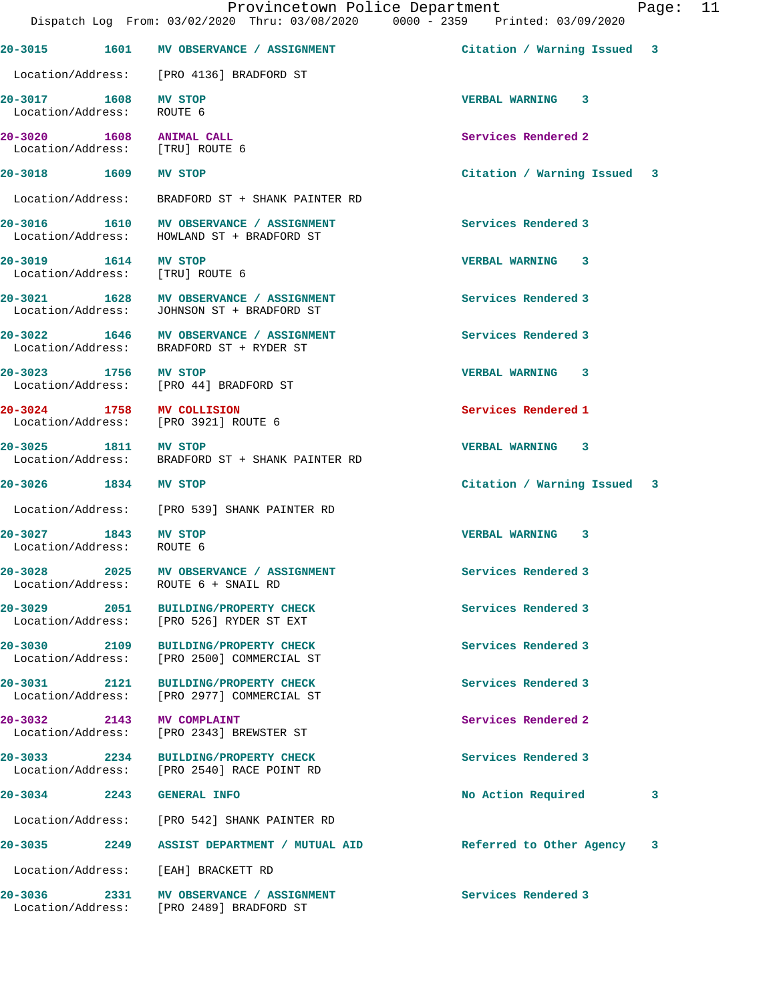|                                                   | Provincetown Police Department<br>Dispatch Log From: 03/02/2020 Thru: 03/08/2020 0000 - 2359 Printed: 03/09/2020 |                             | Page: | 11 |
|---------------------------------------------------|------------------------------------------------------------------------------------------------------------------|-----------------------------|-------|----|
|                                                   | 20-3015 1601 MV OBSERVANCE / ASSIGNMENT                                                                          | Citation / Warning Issued 3 |       |    |
|                                                   | Location/Address: [PRO 4136] BRADFORD ST                                                                         |                             |       |    |
| 20-3017 1608 MV STOP<br>Location/Address:         | ROUTE 6                                                                                                          | VERBAL WARNING 3            |       |    |
| 20-3020 1608 ANIMAL CALL                          | Location/Address: [TRU] ROUTE 6                                                                                  | Services Rendered 2         |       |    |
| 20-3018 1609 MV STOP                              |                                                                                                                  | Citation / Warning Issued 3 |       |    |
|                                                   | Location/Address: BRADFORD ST + SHANK PAINTER RD                                                                 |                             |       |    |
|                                                   | 20-3016 1610 MV OBSERVANCE / ASSIGNMENT<br>Location/Address: HOWLAND ST + BRADFORD ST                            | Services Rendered 3         |       |    |
| 20-3019 1614 MV STOP                              | Location/Address: [TRU] ROUTE 6                                                                                  | VERBAL WARNING 3            |       |    |
|                                                   | 20-3021 1628 MV OBSERVANCE / ASSIGNMENT<br>Location/Address: JOHNSON ST + BRADFORD ST                            | Services Rendered 3         |       |    |
|                                                   | 20-3022 1646 MV OBSERVANCE / ASSIGNMENT<br>Location/Address: BRADFORD ST + RYDER ST                              | Services Rendered 3         |       |    |
| 20-3023 1756 MV STOP                              | Location/Address: [PRO 44] BRADFORD ST                                                                           | VERBAL WARNING 3            |       |    |
|                                                   | 20-3024 1758 MV COLLISION<br>Location/Address: [PRO 3921] ROUTE 6                                                | Services Rendered 1         |       |    |
| 20-3025 1811 MV STOP                              | Location/Address: BRADFORD ST + SHANK PAINTER RD                                                                 | VERBAL WARNING 3            |       |    |
| 20-3026 1834 MV STOP                              |                                                                                                                  | Citation / Warning Issued 3 |       |    |
|                                                   | Location/Address: [PRO 539] SHANK PAINTER RD                                                                     |                             |       |    |
| 20-3027 1843 MV STOP<br>Location/Address: ROUTE 6 |                                                                                                                  | <b>VERBAL WARNING 3</b>     |       |    |
|                                                   | 20-3028 2025 MV OBSERVANCE / ASSIGNMENT<br>Location/Address: ROUTE 6 + SNAIL RD                                  | Services Rendered 3         |       |    |
|                                                   | 20-3029 2051 BUILDING/PROPERTY CHECK<br>Location/Address: [PRO 526] RYDER ST EXT                                 | Services Rendered 3         |       |    |
|                                                   | 20-3030 2109 BUILDING/PROPERTY CHECK<br>Location/Address: [PRO 2500] COMMERCIAL ST                               | Services Rendered 3         |       |    |
|                                                   | 20-3031 2121 BUILDING/PROPERTY CHECK<br>Location/Address: [PRO 2977] COMMERCIAL ST                               | Services Rendered 3         |       |    |
|                                                   | 20-3032 2143 MV COMPLAINT<br>Location/Address: [PRO 2343] BREWSTER ST                                            | Services Rendered 2         |       |    |
|                                                   | 20-3033 2234 BUILDING/PROPERTY CHECK<br>Location/Address: [PRO 2540] RACE POINT RD                               | Services Rendered 3         |       |    |
|                                                   | 20-3034 2243 GENERAL INFO                                                                                        | No Action Required          | 3     |    |
|                                                   | Location/Address: [PRO 542] SHANK PAINTER RD                                                                     |                             |       |    |
|                                                   | 20-3035 2249 ASSIST DEPARTMENT / MUTUAL AID                                                                      | Referred to Other Agency 3  |       |    |
|                                                   | Location/Address: [EAH] BRACKETT RD                                                                              |                             |       |    |
|                                                   | 20-3036 2331 MV OBSERVANCE / ASSIGNMENT<br>Location/Address: [PRO 2489] BRADFORD ST                              | Services Rendered 3         |       |    |
|                                                   |                                                                                                                  |                             |       |    |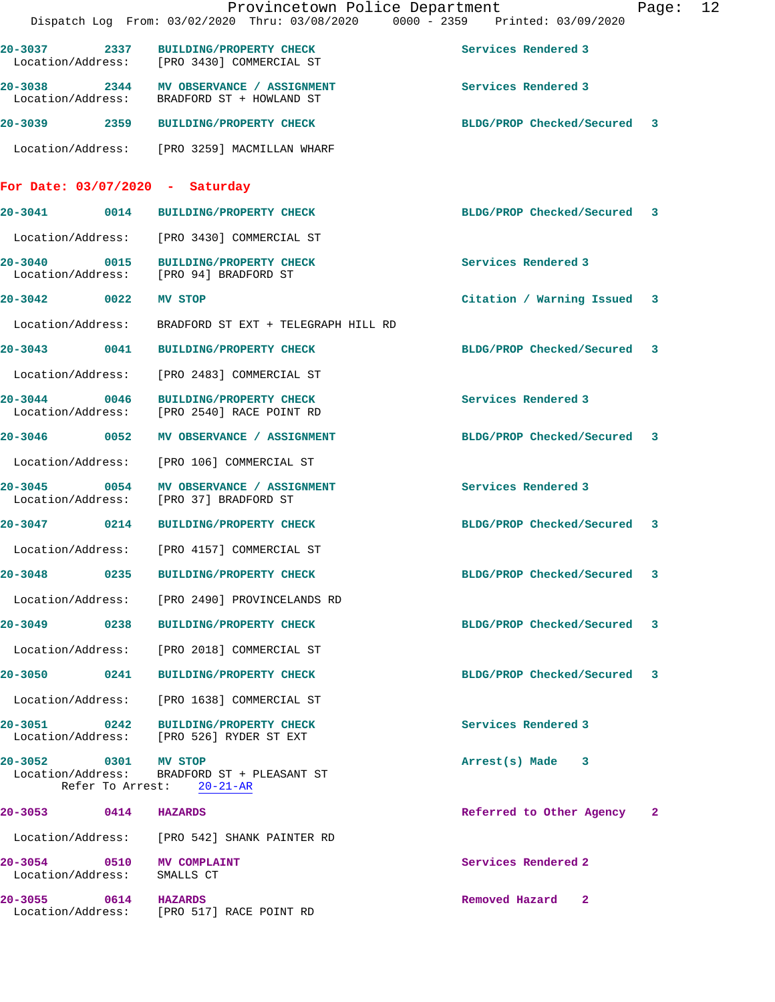|                                                |      | Provincetown Police Department<br>Dispatch Log From: 03/02/2020 Thru: 03/08/2020 0000 - 2359 Printed: 03/09/2020 |                             | Page: | 12 |
|------------------------------------------------|------|------------------------------------------------------------------------------------------------------------------|-----------------------------|-------|----|
|                                                |      | 20-3037 2337 BUILDING/PROPERTY CHECK<br>Location/Address: [PRO 3430] COMMERCIAL ST                               | Services Rendered 3         |       |    |
|                                                |      | 20-3038 2344 MV OBSERVANCE / ASSIGNMENT<br>Location/Address: BRADFORD ST + HOWLAND ST                            | Services Rendered 3         |       |    |
|                                                |      | 20-3039 2359 BUILDING/PROPERTY CHECK                                                                             | BLDG/PROP Checked/Secured 3 |       |    |
|                                                |      | Location/Address: [PRO 3259] MACMILLAN WHARF                                                                     |                             |       |    |
| For Date: $03/07/2020 - Saturday$              |      |                                                                                                                  |                             |       |    |
|                                                |      | 20-3041 0014 BUILDING/PROPERTY CHECK                                                                             | BLDG/PROP Checked/Secured 3 |       |    |
|                                                |      | Location/Address: [PRO 3430] COMMERCIAL ST                                                                       |                             |       |    |
|                                                |      | 20-3040 0015 BUILDING/PROPERTY CHECK<br>Location/Address: [PRO 94] BRADFORD ST                                   | Services Rendered 3         |       |    |
| 20-3042 0022 MV STOP                           |      |                                                                                                                  | Citation / Warning Issued 3 |       |    |
|                                                |      | Location/Address: BRADFORD ST EXT + TELEGRAPH HILL RD                                                            |                             |       |    |
|                                                |      | 20-3043 0041 BUILDING/PROPERTY CHECK                                                                             | BLDG/PROP Checked/Secured 3 |       |    |
|                                                |      | Location/Address: [PRO 2483] COMMERCIAL ST                                                                       |                             |       |    |
|                                                |      | 20-3044 0046 BUILDING/PROPERTY CHECK<br>Location/Address: [PRO 2540] RACE POINT RD                               | Services Rendered 3         |       |    |
|                                                |      | 20-3046 0052 MV OBSERVANCE / ASSIGNMENT                                                                          | BLDG/PROP Checked/Secured 3 |       |    |
|                                                |      | Location/Address: [PRO 106] COMMERCIAL ST                                                                        |                             |       |    |
|                                                |      | 20-3045 0054 MV OBSERVANCE / ASSIGNMENT<br>Location/Address: [PRO 37] BRADFORD ST                                | Services Rendered 3         |       |    |
|                                                |      | 20-3047 0214 BUILDING/PROPERTY CHECK                                                                             | BLDG/PROP Checked/Secured 3 |       |    |
|                                                |      | Location/Address: [PRO 4157] COMMERCIAL ST                                                                       |                             |       |    |
| $20 - 3048$                                    | 0235 | BUILDING/PROPERTY CHECK                                                                                          | BLDG/PROP Checked/Secured 3 |       |    |
|                                                |      | Location/Address: [PRO 2490] PROVINCELANDS RD                                                                    |                             |       |    |
|                                                |      | 20-3049 0238 BUILDING/PROPERTY CHECK                                                                             | BLDG/PROP Checked/Secured 3 |       |    |
|                                                |      | Location/Address: [PRO 2018] COMMERCIAL ST                                                                       |                             |       |    |
| 20-3050 0241                                   |      | <b>BUILDING/PROPERTY CHECK</b>                                                                                   | BLDG/PROP Checked/Secured 3 |       |    |
| Location/Address:                              |      | [PRO 1638] COMMERCIAL ST                                                                                         |                             |       |    |
|                                                |      | 20-3051 0242 BUILDING/PROPERTY CHECK<br>Location/Address: [PRO 526] RYDER ST EXT                                 | Services Rendered 3         |       |    |
| 20-3052                                        |      | 0301 MV STOP<br>Location/Address: BRADFORD ST + PLEASANT ST<br>Refer To Arrest: 20-21-AR                         | Arrest(s) Made 3            |       |    |
| 20-3053 0414 HAZARDS                           |      |                                                                                                                  | Referred to Other Agency 2  |       |    |
|                                                |      | Location/Address: [PRO 542] SHANK PAINTER RD                                                                     |                             |       |    |
| 20-3054 0510 MV COMPLAINT<br>Location/Address: |      | SMALLS CT                                                                                                        | Services Rendered 2         |       |    |
| $20 - 3055$                                    |      | 0614 HAZARDS<br>Location/Address: [PRO 517] RACE POINT RD                                                        | Removed Hazard 2            |       |    |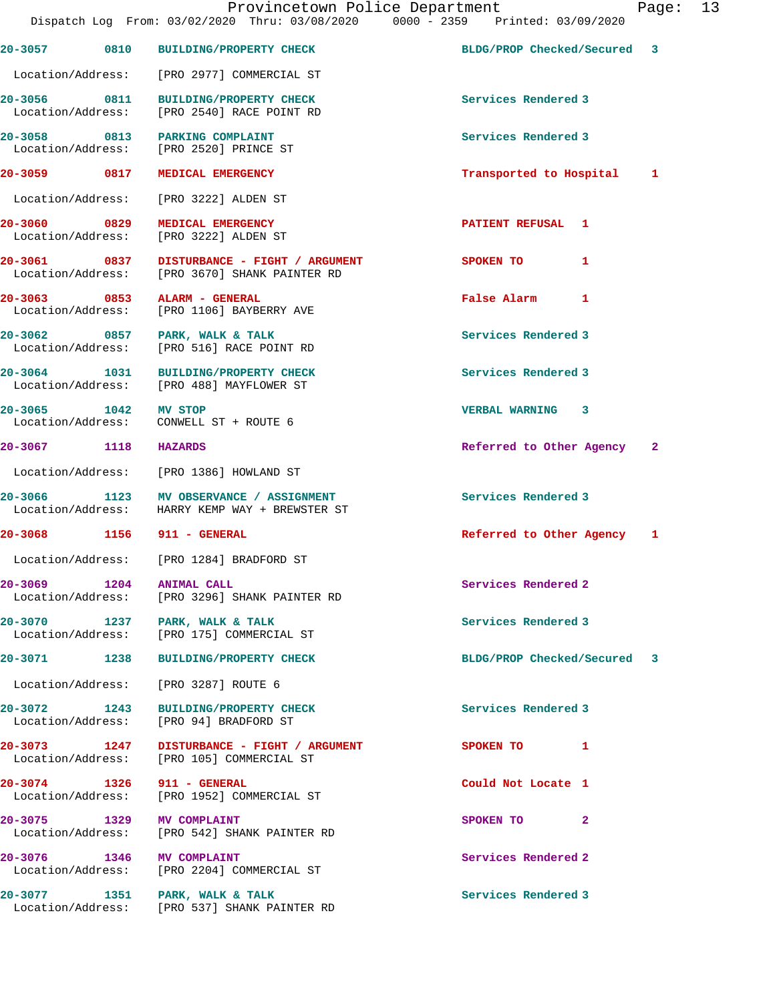|                            | Provincetown Police Department<br>Dispatch Log From: 03/02/2020 Thru: 03/08/2020 0000 - 2359 Printed: 03/09/2020 |                             | Page: 13 |  |
|----------------------------|------------------------------------------------------------------------------------------------------------------|-----------------------------|----------|--|
|                            | 20-3057 0810 BUILDING/PROPERTY CHECK                                                                             | BLDG/PROP Checked/Secured 3 |          |  |
|                            | Location/Address: [PRO 2977] COMMERCIAL ST                                                                       |                             |          |  |
|                            | 20-3056 0811 BUILDING/PROPERTY CHECK<br>Location/Address: [PRO 2540] RACE POINT RD                               | Services Rendered 3         |          |  |
|                            | 20-3058 0813 PARKING COMPLAINT<br>Location/Address: [PRO 2520] PRINCE ST                                         | Services Rendered 3         |          |  |
|                            | 20-3059 0817 MEDICAL EMERGENCY                                                                                   | Transported to Hospital 1   |          |  |
|                            | Location/Address: [PRO 3222] ALDEN ST                                                                            |                             |          |  |
|                            | 20-3060 0829 MEDICAL EMERGENCY<br>Location/Address: [PRO 3222] ALDEN ST                                          | <b>PATIENT REFUSAL 1</b>    |          |  |
|                            | 20-3061 0837 DISTURBANCE - FIGHT / ARGUMENT<br>Location/Address: [PRO 3670] SHANK PAINTER RD                     | SPOKEN TO 1                 |          |  |
|                            | 20-3063 0853 ALARM - GENERAL<br>Location/Address: [PRO 1106] BAYBERRY AVE                                        | False Alarm 1               |          |  |
| Location/Address:          | 20-3062 0857 PARK, WALK & TALK<br>[PRO 516] RACE POINT RD                                                        | Services Rendered 3         |          |  |
|                            | 20-3064 1031 BUILDING/PROPERTY CHECK<br>Location/Address: [PRO 488] MAYFLOWER ST                                 | Services Rendered 3         |          |  |
| 20-3065 1042 MV STOP       | Location/Address: CONWELL ST + ROUTE 6                                                                           | VERBAL WARNING 3            |          |  |
| 20-3067 1118 HAZARDS       |                                                                                                                  | Referred to Other Agency 2  |          |  |
|                            | Location/Address: [PRO 1386] HOWLAND ST                                                                          |                             |          |  |
|                            | 20-3066 1123 MV OBSERVANCE / ASSIGNMENT<br>Location/Address: HARRY KEMP WAY + BREWSTER ST                        | Services Rendered 3         |          |  |
| 20-3068 1156 911 - GENERAL |                                                                                                                  | Referred to Other Agency 1  |          |  |
|                            | Location/Address: [PRO 1284] BRADFORD ST                                                                         |                             |          |  |
| 20-3069 1204 ANIMAL CALL   | Location/Address: [PRO 3296] SHANK PAINTER RD                                                                    | Services Rendered 2         |          |  |
|                            | 20-3070 1237 PARK, WALK & TALK<br>Location/Address: [PRO 175] COMMERCIAL ST                                      | Services Rendered 3         |          |  |
|                            | 20-3071 1238 BUILDING/PROPERTY CHECK                                                                             | BLDG/PROP Checked/Secured   | -3       |  |
|                            | Location/Address: [PRO 3287] ROUTE 6                                                                             |                             |          |  |
| Location/Address:          | 20-3072 1243 BUILDING/PROPERTY CHECK<br>[PRO 94] BRADFORD ST                                                     | Services Rendered 3         |          |  |
|                            | Location/Address: [PRO 105] COMMERCIAL ST                                                                        | SPOKEN TO 1                 |          |  |
| 20-3074 1326 911 - GENERAL | Location/Address: [PRO 1952] COMMERCIAL ST                                                                       | Could Not Locate 1          |          |  |
| 20-3075 1329 MV COMPLAINT  | Location/Address: [PRO 542] SHANK PAINTER RD                                                                     | SPOKEN TO 2                 |          |  |
| 20-3076 1346 MV COMPLAINT  | Location/Address: [PRO 2204] COMMERCIAL ST                                                                       | Services Rendered 2         |          |  |
|                            | 20-3077 1351 PARK, WALK & TALK<br>Location/Address: [PRO 537] SHANK PAINTER RD                                   | Services Rendered 3         |          |  |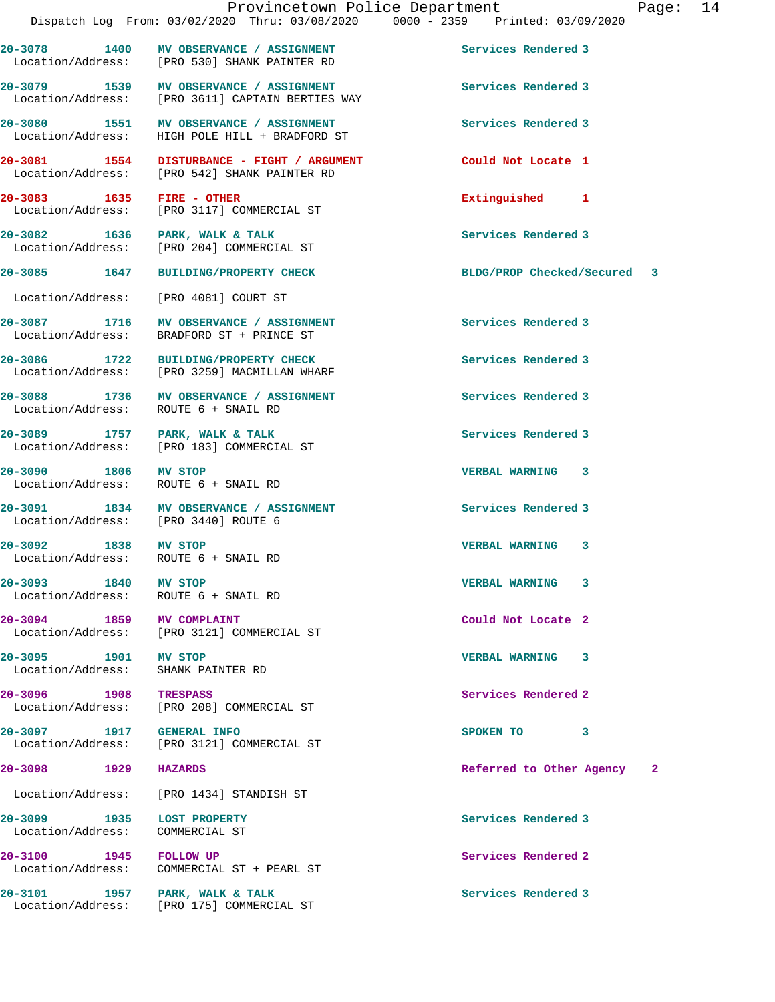**20-3078 1400 MV OBSERVANCE / ASSIGNMENT Services Rendered 3**  Location/Address: [PRO 530] SHANK PAINTER RD **20-3079 1539 MV OBSERVANCE / ASSIGNMENT Services Rendered 3**  [PRO 3611] CAPTAIN BERTIES WAY **20-3080 1551 MV OBSERVANCE / ASSIGNMENT Services Rendered 3**  Location/Address: HIGH POLE HILL + BRADFORD ST **20-3081 1554 DISTURBANCE - FIGHT / ARGUMENT Could Not Locate 1**  [PRO 542] SHANK PAINTER RD **20-3083 1635 FIRE - OTHER Extinguished 1**  Location/Address: [PRO 3117] COMMERCIAL ST 20-3082 1636 PARK, WALK & TALK<br>
Location/Address: [PRO 204] COMMERCIAL ST [PRO 204] COMMERCIAL ST **20-3085 1647 BUILDING/PROPERTY CHECK BLDG/PROP Checked/Secured 3** Location/Address: [PRO 4081] COURT ST 20-3087 1716 MV OBSERVANCE / ASSIGNMENT **Services Rendered 3**  Location/Address: BRADFORD ST + PRINCE ST **20-3086 1722 BUILDING/PROPERTY CHECK Services Rendered 3**  [PRO 3259] MACMILLAN WHARF **20-3088 1736 MV OBSERVANCE / ASSIGNMENT Services Rendered 3**  Location/Address: ROUTE 6 + SNAIL RD **20-3089 1757 PARK, WALK & TALK Services Rendered 3**  Location/Address: [PRO 183] COMMERCIAL ST **20-3090 1806 MV STOP VERBAL WARNING 3**  Location/Address: ROUTE 6 + SNAIL RD 20-3091 1834 MV OBSERVANCE / ASSIGNMENT **Services Rendered 3**<br>
Location/Address: [PRO 3440] ROUTE 6 Location/Address: **20-3092 1838 MV STOP VERBAL WARNING 3**  Location/Address: ROUTE 6 + SNAIL RD **20-3093 1840 MV STOP VERBAL WARNING 3**  Location/Address: ROUTE 6 + SNAIL RD **20-3094 1859 MV COMPLAINT Could Not Locate 2**  [PRO 3121] COMMERCIAL ST **20-3095 1901 MV STOP VERBAL WARNING 3**  Location/Address: SHANK PAINTER RD **20-3096** 1908 TRESPASS **1908** TRESPASS Services Rendered 2 **1908** TRESPASS COMMERCIAL ST [PRO 208] COMMERCIAL ST **20-3097 1917 GENERAL INFO SPOKEN TO 3**  Location/Address: [PRO 3121] COMMERCIAL ST **20-3098 1929 HAZARDS Referred to Other Agency 2** Location/Address: [PRO 1434] STANDISH ST **20-3099 1935 LOST PROPERTY Services Rendered 3**  Location/Address: COMMERCIAL ST **20-3100** 1945 FOLLOW UP **1945** FOLLOW UP **Services Rendered 2** COMMERCIAL ST + PEARL ST 20-3101 1957 PARK, WALK & TALK **Services Rendered 3** Location/Address: [PRO 175] COMMERCIAL ST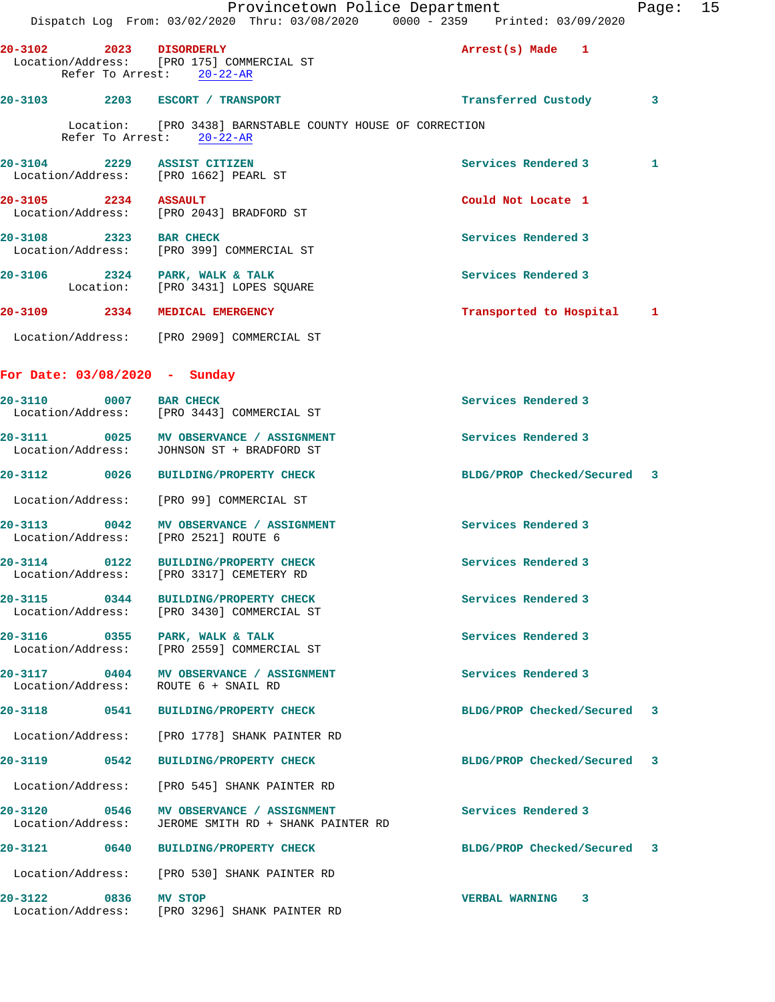|                                   |      | Provincetown Police Department<br>Dispatch Log From: 03/02/2020 Thru: 03/08/2020 0000 - 2359 Printed: 03/09/2020 |                             | Page: 15 |  |
|-----------------------------------|------|------------------------------------------------------------------------------------------------------------------|-----------------------------|----------|--|
| $20 - 3102$                       |      | 2023 DISORDERLY<br>Location/Address: [PRO 175] COMMERCIAL ST<br>Refer To Arrest: 20-22-AR                        | Arrest(s) Made 1            |          |  |
|                                   |      | 20-3103 2203 ESCORT / TRANSPORT                                                                                  | Transferred Custody         | 3        |  |
|                                   |      | Location: [PRO 3438] BARNSTABLE COUNTY HOUSE OF CORRECTION<br>Refer To Arrest: 20-22-AR                          |                             |          |  |
|                                   |      | 20-3104 2229 ASSIST CITIZEN<br>Location/Address: [PRO 1662] PEARL ST                                             | <b>Services Rendered 3</b>  | 1        |  |
| 20-3105 2234 ASSAULT              |      | Location/Address: [PRO 2043] BRADFORD ST                                                                         | Could Not Locate 1          |          |  |
| 20-3108 2323 BAR CHECK            |      | Location/Address: [PRO 399] COMMERCIAL ST                                                                        | Services Rendered 3         |          |  |
|                                   |      | 20-3106 2324 PARK, WALK & TALK<br>Location: [PRO 3431] LOPES SQUARE                                              | Services Rendered 3         |          |  |
|                                   |      | 20-3109 2334 MEDICAL EMERGENCY                                                                                   | Transported to Hospital 1   |          |  |
|                                   |      | Location/Address: [PRO 2909] COMMERCIAL ST                                                                       |                             |          |  |
|                                   |      | For Date: $03/08/2020 - Sunday$                                                                                  |                             |          |  |
| 20-3110 0007 BAR CHECK            |      | Location/Address: [PRO 3443] COMMERCIAL ST                                                                       | Services Rendered 3         |          |  |
| 20-3111                           |      | 0025 MV OBSERVANCE / ASSIGNMENT<br>Location/Address: JOHNSON ST + BRADFORD ST                                    | Services Rendered 3         |          |  |
|                                   |      | 20-3112 0026 BUILDING/PROPERTY CHECK                                                                             | BLDG/PROP Checked/Secured 3 |          |  |
|                                   |      | Location/Address: [PRO 99] COMMERCIAL ST                                                                         |                             |          |  |
| 20-3113                           |      | 0042 MV OBSERVANCE / ASSIGNMENT<br>Location/Address: [PRO 2521] ROUTE 6                                          | Services Rendered 3         |          |  |
| $20 - 3114$<br>Location/Address:  | 0122 | <b>BUILDING/PROPERTY CHECK</b><br>[PRO 3317] CEMETERY RD                                                         | Services Rendered 3         |          |  |
| 20-3115 0344                      |      | BUILDING/PROPERTY CHECK<br>Location/Address: [PRO 3430] COMMERCIAL ST                                            | Services Rendered 3         |          |  |
|                                   |      | 20-3116 0355 PARK, WALK & TALK<br>Location/Address: [PRO 2559] COMMERCIAL ST                                     | Services Rendered 3         |          |  |
|                                   |      | 20-3117 0404 MV OBSERVANCE / ASSIGNMENT<br>Location/Address: ROUTE 6 + SNAIL RD                                  | Services Rendered 3         |          |  |
|                                   |      | 20-3118 0541 BUILDING/PROPERTY CHECK                                                                             | BLDG/PROP Checked/Secured 3 |          |  |
|                                   |      | Location/Address: [PRO 1778] SHANK PAINTER RD                                                                    |                             |          |  |
| 20-3119 0542                      |      | BUILDING/PROPERTY CHECK                                                                                          | BLDG/PROP Checked/Secured 3 |          |  |
| Location/Address:                 |      | [PRO 545] SHANK PAINTER RD                                                                                       |                             |          |  |
| 20-3120 0546<br>Location/Address: |      | MV OBSERVANCE / ASSIGNMENT<br>JEROME SMITH RD + SHANK PAINTER RD                                                 | Services Rendered 3         |          |  |
|                                   |      | 20-3121 0640 BUILDING/PROPERTY CHECK                                                                             | BLDG/PROP Checked/Secured 3 |          |  |
|                                   |      | Location/Address: [PRO 530] SHANK PAINTER RD                                                                     |                             |          |  |
| 20-3122                           |      | 0836 MV STOP<br>Location/Address: [PRO 3296] SHANK PAINTER RD                                                    | VERBAL WARNING 3            |          |  |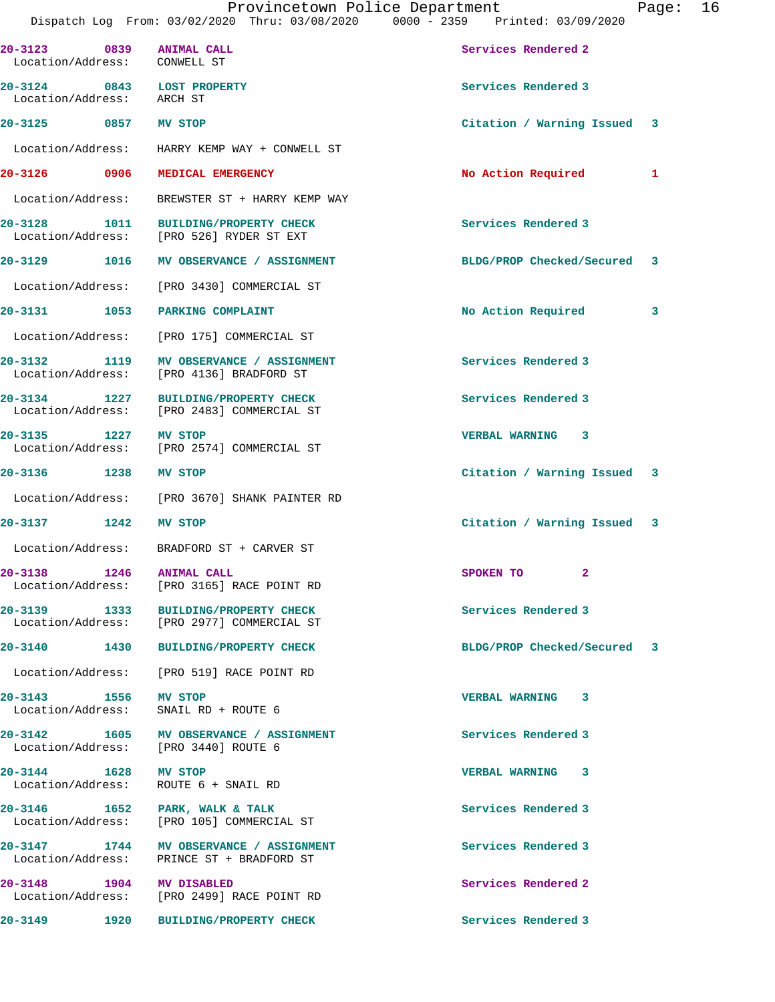| 20-3123 0839 ANIMAL CALL<br>Location/Address: CONWELL ST |      |                                                                                      | Services Rendered 2         |   |
|----------------------------------------------------------|------|--------------------------------------------------------------------------------------|-----------------------------|---|
| 20-3124 0843 LOST PROPERTY<br>Location/Address: ARCH ST  |      |                                                                                      | Services Rendered 3         |   |
| 20-3125 0857 MV STOP                                     |      |                                                                                      | Citation / Warning Issued 3 |   |
|                                                          |      | Location/Address: HARRY KEMP WAY + CONWELL ST                                        |                             |   |
|                                                          |      | 20-3126 0906 MEDICAL EMERGENCY                                                       | No Action Required          | 1 |
|                                                          |      | Location/Address: BREWSTER ST + HARRY KEMP WAY                                       |                             |   |
|                                                          |      | 20-3128 1011 BUILDING/PROPERTY CHECK<br>Location/Address: [PRO 526] RYDER ST EXT     | Services Rendered 3         |   |
|                                                          |      | 20-3129 1016 MV OBSERVANCE / ASSIGNMENT                                              | BLDG/PROP Checked/Secured 3 |   |
|                                                          |      | Location/Address: [PRO 3430] COMMERCIAL ST                                           |                             |   |
| 20-3131 1053                                             |      | PARKING COMPLAINT                                                                    | No Action Required          | 3 |
|                                                          |      | Location/Address: [PRO 175] COMMERCIAL ST                                            |                             |   |
|                                                          |      | 20-3132 1119 MV OBSERVANCE / ASSIGNMENT<br>Location/Address: [PRO 4136] BRADFORD ST  | Services Rendered 3         |   |
| 20-3134 1227                                             |      | <b>BUILDING/PROPERTY CHECK</b><br>Location/Address: [PRO 2483] COMMERCIAL ST         | Services Rendered 3         |   |
| 20-3135 1227 MV STOP                                     |      | Location/Address: [PRO 2574] COMMERCIAL ST                                           | VERBAL WARNING 3            |   |
| 20-3136 1238 MV STOP                                     |      |                                                                                      | Citation / Warning Issued 3 |   |
|                                                          |      | Location/Address: [PRO 3670] SHANK PAINTER RD                                        |                             |   |
| 20-3137 1242                                             |      | MV STOP                                                                              | Citation / Warning Issued 3 |   |
|                                                          |      | Location/Address: BRADFORD ST + CARVER ST                                            |                             |   |
| 20-3138 1246 ANIMAL CALL                                 |      | Location/Address: [PRO 3165] RACE POINT RD                                           | $\mathbf{2}$<br>SPOKEN TO   |   |
| 20-3139 1333<br>Location/Address:                        |      | <b>BUILDING/PROPERTY CHECK</b><br>[PRO 2977] COMMERCIAL ST                           | Services Rendered 3         |   |
| $20 - 3140$                                              |      | 1430 BUILDING/PROPERTY CHECK                                                         | BLDG/PROP Checked/Secured 3 |   |
|                                                          |      | Location/Address: [PRO 519] RACE POINT RD                                            |                             |   |
| 20-3143 1556 MV STOP                                     |      | Location/Address: SNAIL RD + ROUTE 6                                                 | VERBAL WARNING 3            |   |
|                                                          |      | 20-3142 1605 MV OBSERVANCE / ASSIGNMENT<br>Location/Address: [PRO 3440] ROUTE 6      | Services Rendered 3         |   |
| 20-3144 1628 MV STOP                                     |      | Location/Address: ROUTE 6 + SNAIL RD                                                 | VERBAL WARNING 3            |   |
|                                                          |      | 20-3146 1652 PARK, WALK & TALK<br>Location/Address: [PRO 105] COMMERCIAL ST          | Services Rendered 3         |   |
|                                                          |      | 20-3147 1744 MV OBSERVANCE / ASSIGNMENT<br>Location/Address: PRINCE ST + BRADFORD ST | Services Rendered 3         |   |
| 20-3148 1904 MV DISABLED                                 |      | Location/Address: [PRO 2499] RACE POINT RD                                           | Services Rendered 2         |   |
| 20-3149                                                  | 1920 | BUILDING/PROPERTY CHECK                                                              | Services Rendered 3         |   |